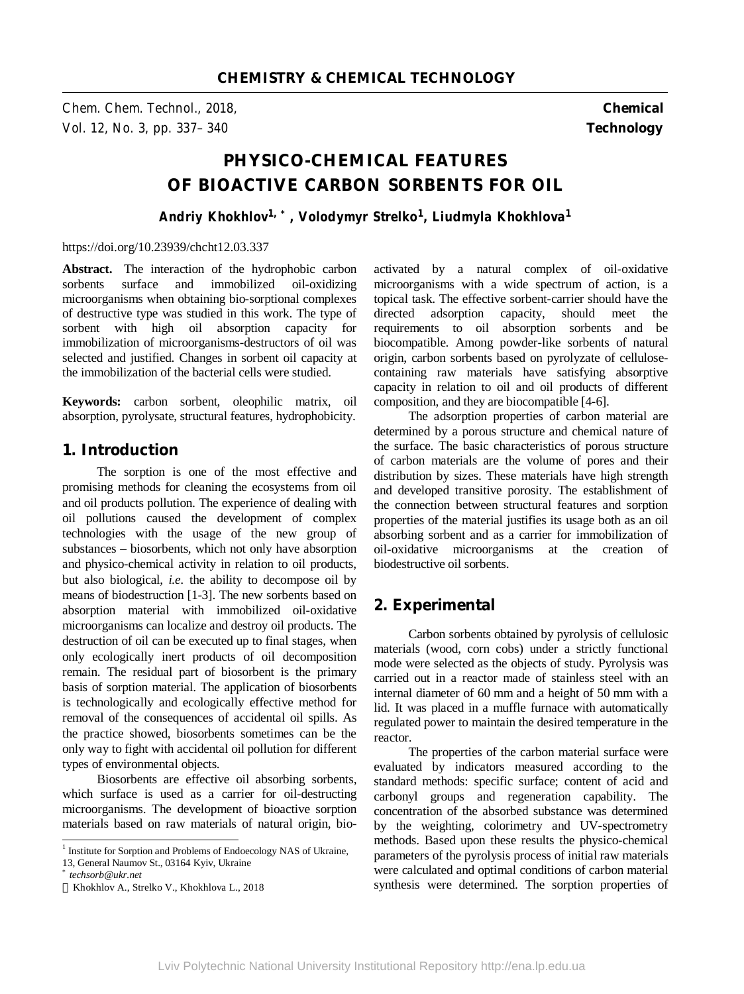*Chem. Chem. Technol., 2018,* **Chemical**  *Vol. 12, No. 3, pp. 337–340* **Technology** 

# **PHYSICO-CHEMICAL FEATURES OF BIOACTIVE CARBON SORBENTS FOR OIL**

*Andriy Khokhlov1, \*, Volodymyr Strelko<sup>1</sup> , Liudmyla Khokhlova<sup>1</sup>*

#### https://doi.org/10.23939/chcht12.03.337

Abstract. The interaction of the hydrophobic carbon sorbents surface and immobilized oil-oxidizing microorganisms when obtaining bio-sorptional complexes of destructive type was studied in this work. The type of sorbent with high oil absorption capacity for immobilization of microorganisms-destructors of oil was selected and justified. Changes in sorbent oil capacity at the immobilization of the bacterial cells were studied.

**Keywords:** carbon sorbent, oleophilic matrix, oil absorption, pyrolysate, structural features, hydrophobicity.

## **1. Introduction**

The sorption is one of the most effective and promising methods for cleaning the ecosystems from oil and oil products pollution. The experience of dealing with oil pollutions caused the development of complex technologies with the usage of the new group of substances – biosorbents, which not only have absorption and physico-chemical activity in relation to oil products, but also biological, *i.e.* the ability to decompose oil by means of biodestruction [1-3]. The new sorbents based on absorption material with immobilized oil-oxidative microorganisms can localize and destroy oil products. The destruction of oil can be executed up to final stages, when only ecologically inert products of oil decomposition remain. The residual part of biosorbent is the primary basis of sorption material. The application of biosorbents is technologically and ecologically effective method for removal of the consequences of accidental oil spills. As the practice showed, biosorbents sometimes can be the only way to fight with accidental oil pollution for different types of environmental objects.

Biosorbents are effective oil absorbing sorbents, which surface is used as a carrier for oil-destructing microorganisms. The development of bioactive sorption materials based on raw materials of natural origin, bio-

j

activated by a natural complex of oil-oxidative microorganisms with a wide spectrum of action, is a topical task. The effective sorbent-carrier should have the directed adsorption capacity, should meet the requirements to oil absorption sorbents and be biocompatible. Among powder-like sorbents of natural origin, carbon sorbents based on pyrolyzate of cellulosecontaining raw materials have satisfying absorptive capacity in relation to oil and oil products of different composition, and they are biocompatible [4-6].

The adsorption properties of carbon material are determined by a porous structure and chemical nature of the surface. The basic characteristics of porous structure of carbon materials are the volume of pores and their distribution by sizes. These materials have high strength and developed transitive porosity. The establishment of the connection between structural features and sorption properties of the material justifies its usage both as an oil absorbing sorbent and as a carrier for immobilization of oil-oxidative microorganisms at the creation of biodestructive oil sorbents.

# **2. Experimental**

Carbon sorbents obtained by pyrolysis of cellulosic materials (wood, corn cobs) under a strictly functional mode were selected as the objects of study. Pyrolysis was carried out in a reactor made of stainless steel with an internal diameter of 60 mm and a height of 50 mm with a lid. It was placed in a muffle furnace with automatically regulated power to maintain the desired temperature in the reactor.

The properties of the carbon material surface were evaluated by indicators measured according to the standard methods: specific surface; content of acid and carbonyl groups and regeneration capability. The concentration of the absorbed substance was determined by the weighting, colorimetry and UV-spectrometry methods. Based upon these results the physico-chemical parameters of the pyrolysis process of initial raw materials were calculated and optimal conditions of carbon material synthesis were determined. The sorption properties of

<sup>&</sup>lt;sup>1</sup> Institute for Sorption and Problems of Endoecology NAS of Ukraine, 13, General Naumov St., 03164 Kyiv, Ukraine

*<sup>\*</sup>techsorb@ukr.net*

Khokhlov A., Strelko V., Khokhlova L., 2018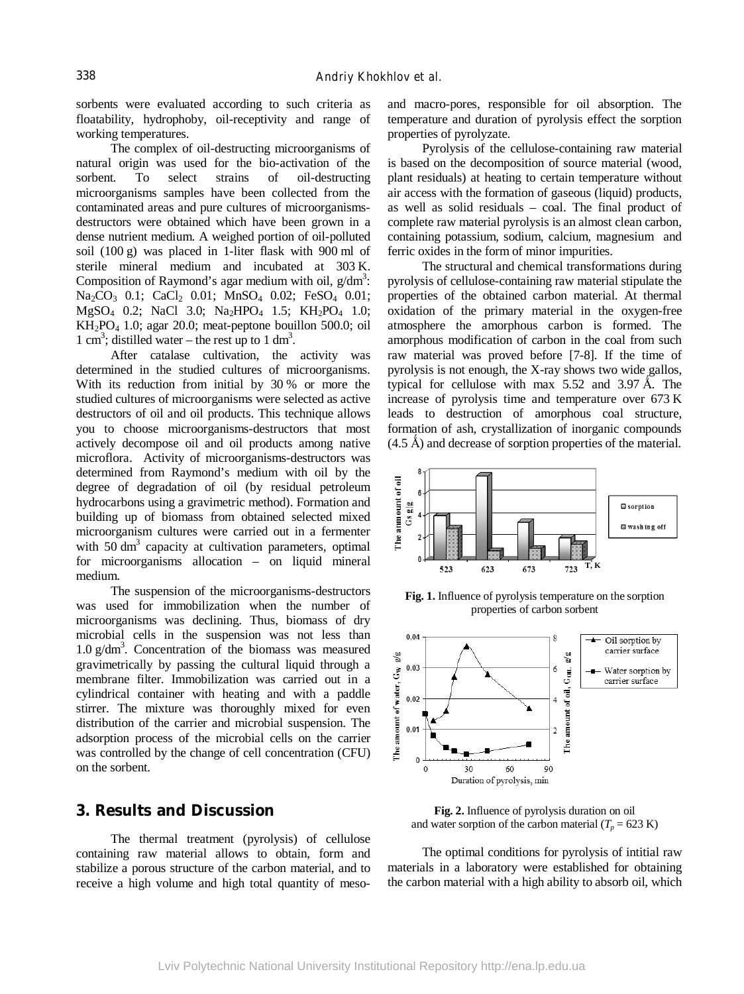sorbents were evaluated according to such criteria as floatability, hydrophoby, oil-receptivity and range of working temperatures.

The complex of oil-destructing microorganisms of natural origin was used for the bio-activation of the sorbent. To select strains of oil-destructing microorganisms samples have been collected from the contaminated areas and pure cultures of microorganismsdestructors were obtained which have been grown in a dense nutrient medium. A weighed portion of oil-polluted soil (100 g) was placed in 1-liter flask with 900 ml of sterile mineral medium and incubated at 303 K. Composition of Raymond's agar medium with oil,  $g/dm^3$ : Na<sub>2</sub>CO<sub>3</sub> 0.1; CaCl<sub>2</sub> 0.01; MnSO<sub>4</sub> 0.02; FeSO<sub>4</sub> 0.01; MgSO<sub>4</sub> 0.2; NaCl 3.0; Na<sub>2</sub>HPO<sub>4</sub> 1.5; KH<sub>2</sub>PO<sub>4</sub> 1.0;  $KH<sub>2</sub>PO<sub>4</sub> 1.0$ ; agar 20.0; meat-peptone bouillon 500.0; oil 1 cm<sup>3</sup>; distilled water – the rest up to 1 dm<sup>3</sup>.

After catalase cultivation, the activity was determined in the studied cultures of microorganisms. With its reduction from initial by 30 % or more the studied cultures of microorganisms were selected as active destructors of oil and oil products. This technique allows you to choose microorganisms-destructors that most actively decompose oil and oil products among native microflora. Activity of microorganisms-destructors was determined from Raymond's medium with oil by the degree of degradation of oil (by residual petroleum hydrocarbons using a gravimetric method). Formation and building up of biomass from obtained selected mixed microorganism cultures were carried out in a fermenter with  $50 \text{ dm}^3$  capacity at cultivation parameters, optimal for microorganisms allocation – on liquid mineral medium.

The suspension of the microorganisms-destructors was used for immobilization when the number of microorganisms was declining. Thus, biomass of dry microbial cells in the suspension was not less than 1.0 g/dm<sup>3</sup> . Concentration of the biomass was measured gravimetrically by passing the cultural liquid through a membrane filter. Immobilization was carried out in a cylindrical container with heating and with a paddle stirrer. The mixture was thoroughly mixed for even distribution of the carrier and microbial suspension. The adsorption process of the microbial cells on the carrier was controlled by the change of cell concentration (CFU) on the sorbent.

### **3. Results and Discussion**

The thermal treatment (pyrolysis) of cellulose containing raw material allows to obtain, form and stabilize a porous structure of the carbon material, and to receive a high volume and high total quantity of mesoand macro-pores, responsible for oil absorption. The temperature and duration of pyrolysis effect the sorption properties of pyrolyzate.

Pyrolysis of the cellulose-containing raw material is based on the decomposition of source material (wood, plant residuals) at heating to certain temperature without air access with the formation of gaseous (liquid) products, as well as solid residuals – coal. The final product of complete raw material pyrolysis is an almost clean carbon, containing potassium, sodium, calcium, magnesium and ferric oxides in the form of minor impurities.

The structural and chemical transformations during pyrolysis of cellulose-containing raw material stipulate the properties of the obtained carbon material. At thermal oxidation of the primary material in the oxygen-free atmosphere the amorphous carbon is formed. The amorphous modification of carbon in the coal from such raw material was proved before [7-8]. If the time of pyrolysis is not enough, the X-ray shows two wide gallos, typical for cellulose with max  $5.52$  and  $3.97 \text{ Å}$ . The increase of pyrolysis time and temperature over 673 K leads to destruction of amorphous coal structure, formation of ash, crystallization of inorganic compounds  $(4.5 \text{ Å})$  and decrease of sorption properties of the material.



**Fig. 1.** Influence of pyrolysis temperature on the sorption properties of carbon sorbent



**Fig. 2.** Influence of pyrolysis duration on oil and water sorption of the carbon material  $(T_p = 623 \text{ K})$ 

The optimal conditions for pyrolysis of intitial raw materials in a laboratory were established for obtaining the carbon material with a high ability to absorb oil, which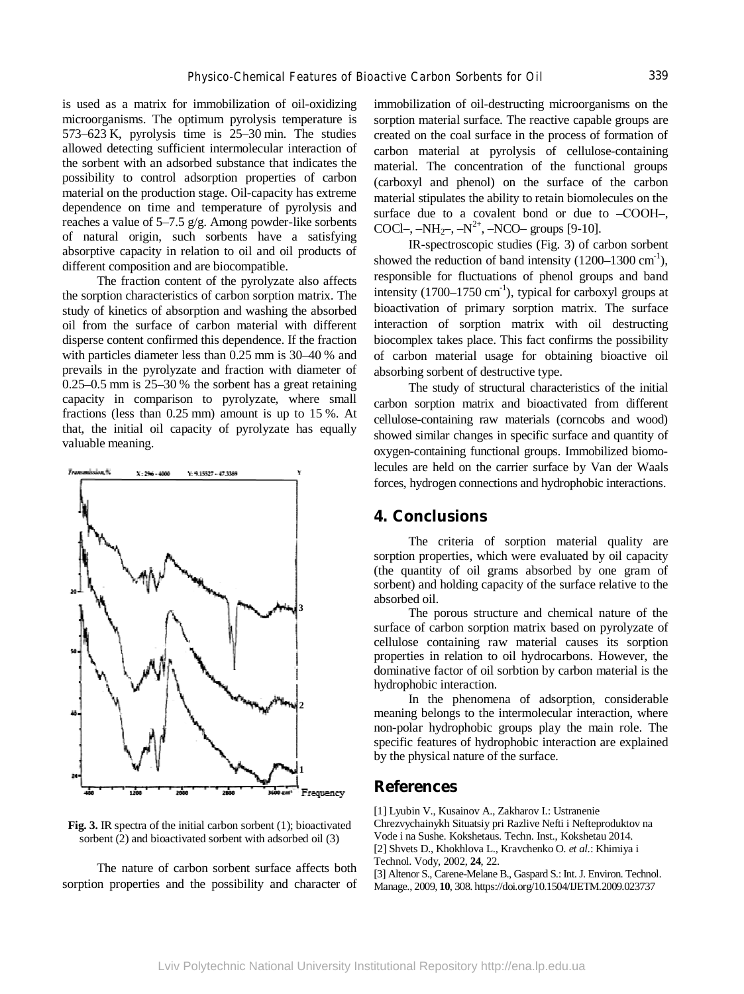is used as a matrix for immobilization of oil-oxidizing microorganisms. The optimum pyrolysis temperature is 573–623 K, pyrolysis time is 25–30 min. The studies allowed detecting sufficient intermolecular interaction of the sorbent with an adsorbed substance that indicates the possibility to control adsorption properties of carbon material on the production stage. Oil-capacity has extreme dependence on time and temperature of pyrolysis and reaches a value of  $5-7.5$  g/g. Among powder-like sorbents of natural origin, such sorbents have a satisfying absorptive capacity in relation to oil and oil products of different composition and are biocompatible.

The fraction content of the pyrolyzate also affects the sorption characteristics of carbon sorption matrix. The study of kinetics of absorption and washing the absorbed oil from the surface of carbon material with different disperse content confirmed this dependence. If the fraction with particles diameter less than 0.25 mm is 30–40 % and prevails in the pyrolyzate and fraction with diameter of 0.25–0.5 mm is 25–30 % the sorbent has a great retaining capacity in comparison to pyrolyzate, where small fractions (less than 0.25 mm) amount is up to 15 %. At that, the initial oil capacity of pyrolyzate has equally valuable meaning.



**Fig. 3.** IR spectra of the initial carbon sorbent (1); bioactivated sorbent (2) and bioactivated sorbent with adsorbed oil (3)

The nature of carbon sorbent surface affects both sorption properties and the possibility and character of immobilization of oil-destructing microorganisms on the sorption material surface. The reactive capable groups are created on the coal surface in the process of formation of carbon material at pyrolysis of cellulose-containing material. The concentration of the functional groups (carboxyl and phenol) on the surface of the carbon material stipulates the ability to retain biomolecules on the surface due to a covalent bond or due to –СООН–, COCl-,  $-NH_{2}$ -,  $-N^{2+}$ ,  $-NCO$ - groups [9-10].

IR-spectroscopic studies (Fig. 3) of carbon sorbent showed the reduction of band intensity  $(1200-1300 \text{ cm}^3)$ , responsible for fluctuations of phenol groups and band intensity  $(1700-1750 \text{ cm}^3)$ , typical for carboxyl groups at bioactivation of primary sorption matrix. The surface interaction of sorption matrix with oil destructing biocomplex takes place. This fact confirms the possibility of carbon material usage for obtaining bioactive oil absorbing sorbent of destructive type.

The study of structural characteristics of the initial carbon sorption matrix and bioactivated from different cellulose-containing raw materials (corncobs and wood) showed similar changes in specific surface and quantity of oxygen-containing functional groups. Immobilized biomolecules are held on the carrier surface by Van der Waals forces, hydrogen connections and hydrophobic interactions.

#### **4. Conclusions**

The criteria of sorption material quality are sorption properties, which were evaluated by oil capacity (the quantity of oil grams absorbed by one gram of sorbent) and holding capacity of the surface relative to the absorbed oil.

The porous structure and chemical nature of the surface of carbon sorption matrix based on pyrolyzate of cellulose containing raw material causes its sorption properties in relation to oil hydrocarbons. However, the dominative factor of oil sorbtion by carbon material is the hydrophobic interaction.

In the phenomena of adsorption, considerable meaning belongs to the intermolecular interaction, where non-polar hydrophobic groups play the main role. The specific features of hydrophobic interaction are explained by the physical nature of the surface.

#### **References**

[1] Lyubin V., Kusainov A., Zakharov I.: Ustranenie Chrezvychainykh Situatsiy pri Razlive Nefti i Nefteproduktov na Vode i na Sushe. Kokshetaus. Techn. Inst., Kokshetau 2014. [2] Shvets D., Khokhlova L., Kravchenko O. *et al*.: Khimiya i Technol. Vody, 2002, **24**, 22.

[3] Altenor S., Carene-Melane B., Gaspard S.: Int. J. Environ. Technol. Manage., 2009, **10**, 308. https://doi.org/10.1504/IJETM.2009.023737